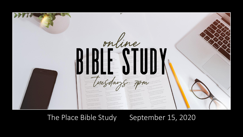

The Place Bible Study September 15, 2020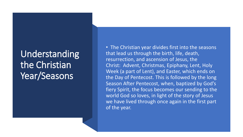### Understanding the Christian Year/Seasons

• The Christian year divides first into the seasons that lead us through the birth, life, death, resurrection, and ascension of Jesus, the Christ: Advent, Christmas, Epiphany, Lent, Holy Week (a part of Lent), and Easter, which ends on the Day of Pentecost. This is followed by the long Season After Pentecost, when, baptized by God's fiery Spirit, the focus becomes our sending to the world God so loves, in light of the story of Jesus we have lived through once again in the first part of the year.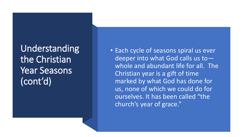Understanding the Christian Year Seasons (cont'd)

• Each cycle of seasons spiral us ever deeper into what God calls us to whole and abundant life for all. The Christian year is a gift of time marked by what God has done for us, none of which we could do for ourselves. It has been called "the church's year of grace."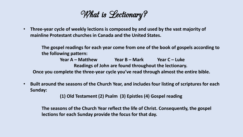What is Lectionary?

• **Three-year cycle of weekly lections is composed by and used by the vast majority of mainline Protestant churches in Canada and the United States.** 

**The gospel readings for each year come from one of the book of gospels according to the following pattern:**

**Year A – Matthew Year B – Mark Year C – Luke Readings of John are found throughout the lectionary. Once you complete the three-year cycle you've read through almost the entire bible.**

• **Built around the seasons of the Church Year, and includes four listing of scriptures for each Sunday:**

**(1) Old Testament (2) Psalm (3) Epistles (4) Gospel reading**

**The seasons of the Church Year reflect the life of Christ. Consequently, the gospel lections for each Sunday provide the focus for that day.**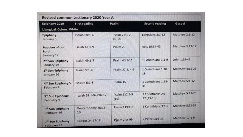| Revised common Lectionary 2020 Year A            |                          |                            |                                   |                 |
|--------------------------------------------------|--------------------------|----------------------------|-----------------------------------|-----------------|
| Epiphany 2019<br><b>Liturgical Colour: White</b> | <b>First reading</b>     | Psalm                      | <b>Second reading</b>             | Gospel          |
| Epiphany<br>January 5                            | Isaiah 60:1-6            | Psalm 72:1-7,<br>$10 - 14$ | Ephesians 3:1-12                  | Matthew 2:1-12  |
| <b>Baptism of our</b><br>Lord<br>January 12      | Isaiah 42:1-9            | Psalm 29                   | Acts 10:34-43                     | Matthew 3:13-17 |
| 2 <sup>nd</sup> Sun Epiphany<br>January 19       | Isaiah 49:1-7            | Psalm 40:1-11              | 1 Corinthians 1:1-9               | John 1:29-42    |
| 3 <sup>rd</sup> Sun Epiphany<br>January 26       | Isaiah 9:1-4             | Psalm 27:1, 4-9            | 1 Corinthians 1:10-<br>18         | Matthew 4:12-23 |
| 4 <sup>th</sup> Sun Epiphany 5<br>February 2     | Micah 6:1-8              | Psalm 15                   | 1 Corinthians 1:18-<br>31         | Matthew 5:1-12  |
| 5 <sup>th</sup> Sun Epiphany<br>February 9       | Isaiah 58:1-9a (9b-12)   | Psalm 112:1-9<br>(10)      | 1 Corinthians 2:1-<br>$12(13-16)$ | Matthew 5:13-20 |
| 6 <sup>th</sup> Sun Epiphany<br>February 16      | Deuteronomy 30:15-<br>20 | Psalm 119:1-8              | 1 Corinthians 3:1-9               | Matthew 5:21-37 |
| 7 <sup>th</sup> Sun Epiphany<br>February 23      | Exodus 24:12-18          | Psalm 2 or 99              | 2 Peter 1:16-21                   | Matthew 17:1-9  |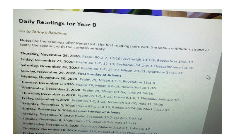### Daily Readings for Year B

Go to Today's Readings

Note: For the readings after Pentecost: the first reading pairs with the semi-continuous strand of Thursday, November 26, 2020: Psalm 80:1-7, 17-19; Zechariah 13:1-9; Revelation 14:6-13 Friday, November 27, 2020: Psalm 80:1-7, 17-19; Zechariah 14:1-9; 1 Thessalonians 4:1-18 Saturday, November 28, 2020: Psalm 80:1-7, 17-19; Micah 2:1-13; Matthew 24:15-31 Sunday, November 29, 2020: First Sunday of Advent Monday, November 30, 2020: Psalm 79; Micah 4:1-5; Revelation 15:1-8 いう Tuesday, December 1, 2020: Psalm 79; Micah 4:6-13; Revelation 18:1-10 Wednesday, December 2, 2020: Psalm 79; Micah 5:1-5a; Luke 21:34-38 Thursday, December 3, 2020: Psalm 85-1-2, 8-13; Hosea 6:1-6; 1 Thessalonians 1:2-10 Friday, December 4, 2020: Psalm 85:1-2, 8-13; Jeremiah 1:4-10; Acts 11:19-26 Saturday, December 5, 2020: Psalm 85:1-2, 8-13; Ezekiel 36:24-28; Mark 11:27-33 Sunday, December 6, 2020: Second Sunday of Advent Monday, December 7, 2020: Psalm 27, Isalah 26:7-15, Acts 2:37-42 Tuesday, December 8, 2020; Psalm 27; Isaiah 4:2-6; Acts 11:1-18 Wednesday, December 9, 2020: Psalm 27, Malachi 2:10-3:1; Luke 1:5-17 Thursday, December 10, 2020: Psalm 126; Habakkuk 2:1-5; Philippians 3-7-1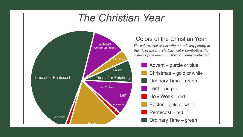## **The Christian Year**



#### Colors of the Christian Year

The colors express visually what is happening in the life of the church. Each color symbolizes the nature of the season or festival being celebrated.

- Advent purple or blue
- Christmas gold or white
- Ordinary Time green
- $Lent$  purple
- Holy Week red
- Easter gold or white
- Pentecost red
- $\blacksquare$  Ordinary Time green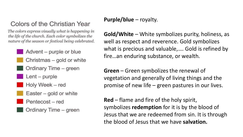### Colors of the Christian Year

The colors express visually what is happening in the life of the church. Each color symbolizes the nature of the season or festival being celebrated.

- Advent purple or blue
- Christmas gold or white
- Ordinary Time green
- $Lent$  purple
- Holy Week red
	- Easter  $-$  gold or white
	- Pentecost red
	- Ordinary Time green

#### **Purple/blue** – royalty.

**Gold/White** – White symbolizes purity, holiness, as well as respect and reverence. Gold symbolizes what is precious and valuable,…. Gold is refined by fire…an enduring substance, or wealth.

**Green** – Green symbolizes the renewal of vegetation and generally of living things and the promise of new life – green pastures in our lives.

**Red** – flame and fire of the holy spirit, symbolizes **redemption** for it is by the blood of Jesus that we are redeemed from sin. It is through the blood of Jesus that we have **salvation.**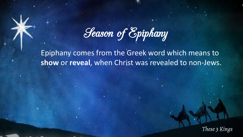Season of Epiphany

Epiphany comes from the Greek word which means to **show** or **reveal**, when Christ was revealed to non-Jews.

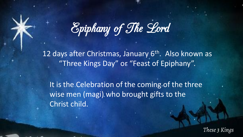

12 days after Christmas, January 6<sup>th</sup>. Also known as "Three Kings Day" or "Feast of Epiphany".

It is the Celebration of the coming of the three wise men (magi) who brought gifts to the Christ child.

These 3 Kings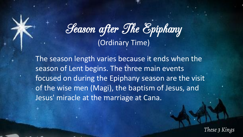# Season after The Epiphany (Ordinary Time)

The season length varies because it ends when the season of Lent begins. The three main events focused on during the Epiphany season are the visit of the wise men (Magi), the baptism of Jesus, and Jesus' miracle at the marriage at Cana.

These 3 Kings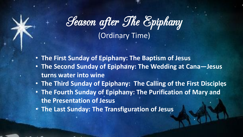# Season after The Epiphany (Ordinary Time)

- **The First Sunday of Epiphany: The Baptism of Jesus**
- **The Second Sunday of Epiphany: The Wedding at Cana—Jesus turns water into wine**
- **The Third Sunday of Epiphany: The Calling of the First Disciples**
- **The Fourth Sunday of Epiphany: The Purification of Mary and the Presentation of Jesus**
- **The Last Sunday: The Transfiguration of Jesus**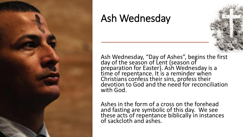

### Ash Wednesday

Ash Wednesday, "Day of Ashes", begins the first day of the season of Lent (season of preparation for Easter). Ash Wednesday is a time of repentance. It is a reminder when Christians confess their sins, profess their devotion to God and the need for reconciliation with God.

Ashes in the form of a cross on the forehead and fasting are symbolic of this day. We see these acts of repentance biblically in instances of sackcloth and ashes.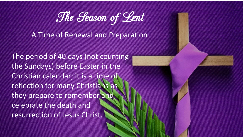

A Time of Renewal and Preparation

The period of 40 days (not counting the Sundays) before Easter in the Christian calendar; it is a time of reflection for many Christians as they prepare to remember and celebrate the death and resurrection of Jesus Christ.